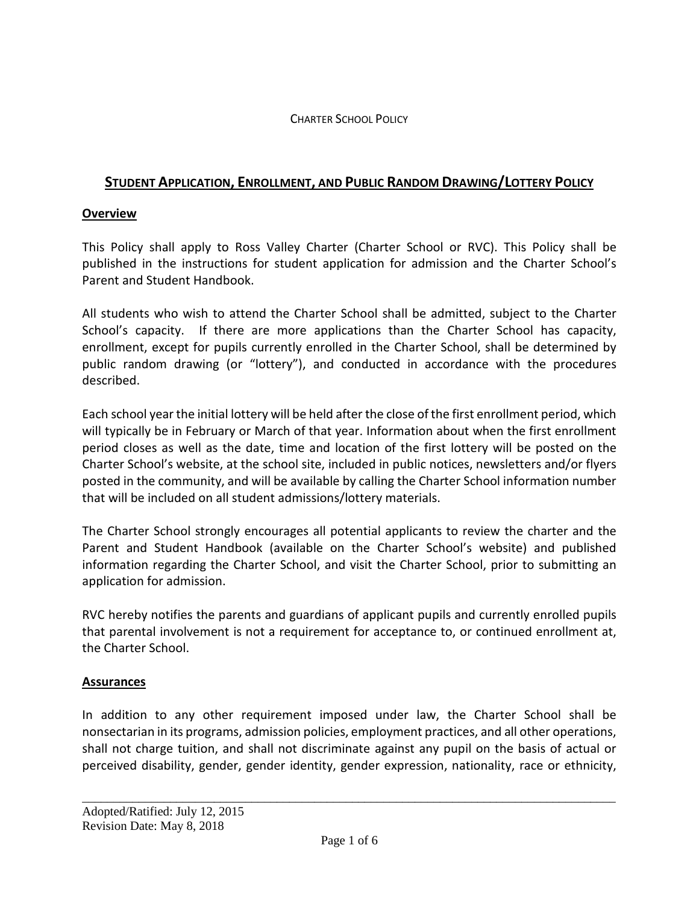### CHARTER SCHOOL POLICY

# **STUDENT APPLICATION, ENROLLMENT, AND PUBLIC RANDOM DRAWING/LOTTERY POLICY**

### **Overview**

This Policy shall apply to Ross Valley Charter (Charter School or RVC). This Policy shall be published in the instructions for student application for admission and the Charter School's Parent and Student Handbook.

All students who wish to attend the Charter School shall be admitted, subject to the Charter School's capacity. If there are more applications than the Charter School has capacity, enrollment, except for pupils currently enrolled in the Charter School, shall be determined by public random drawing (or "lottery"), and conducted in accordance with the procedures described.

Each school year the initial lottery will be held after the close of the first enrollment period, which will typically be in February or March of that year. Information about when the first enrollment period closes as well as the date, time and location of the first lottery will be posted on the Charter School's website, at the school site, included in public notices, newsletters and/or flyers posted in the community, and will be available by calling the Charter School information number that will be included on all student admissions/lottery materials.

The Charter School strongly encourages all potential applicants to review the charter and the Parent and Student Handbook (available on the Charter School's website) and published information regarding the Charter School, and visit the Charter School, prior to submitting an application for admission.

RVC hereby notifies the parents and guardians of applicant pupils and currently enrolled pupils that parental involvement is not a requirement for acceptance to, or continued enrollment at, the Charter School.

### **Assurances**

In addition to any other requirement imposed under law, the Charter School shall be nonsectarian in its programs, admission policies, employment practices, and all other operations, shall not charge tuition, and shall not discriminate against any pupil on the basis of actual or perceived disability, gender, gender identity, gender expression, nationality, race or ethnicity,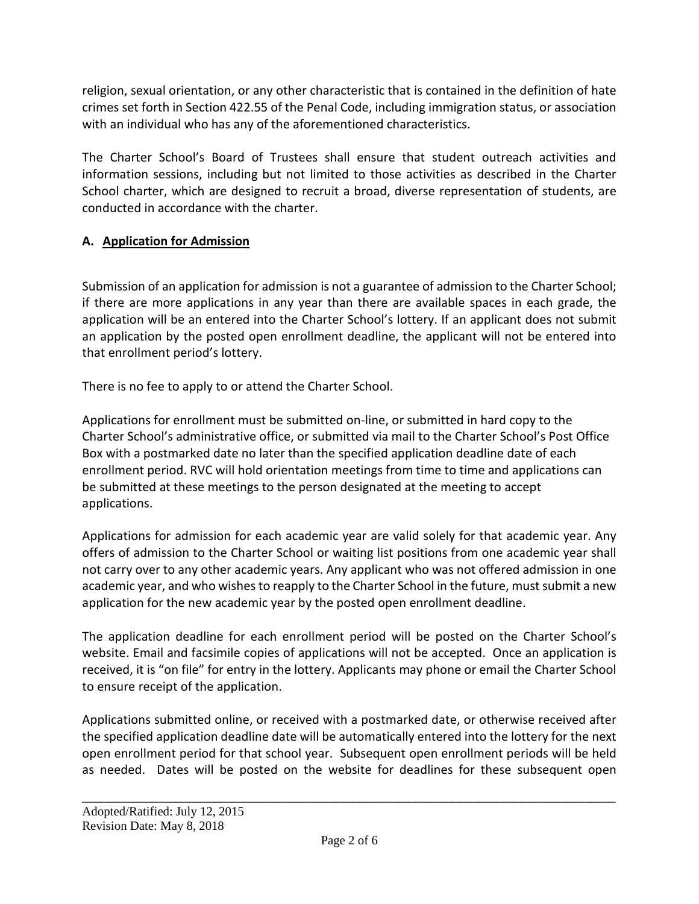religion, sexual orientation, or any other characteristic that is contained in the definition of hate crimes set forth in Section 422.55 of the Penal Code, including immigration status, or association with an individual who has any of the aforementioned characteristics.

The Charter School's Board of Trustees shall ensure that student outreach activities and information sessions, including but not limited to those activities as described in the Charter School charter, which are designed to recruit a broad, diverse representation of students, are conducted in accordance with the charter.

# **A. Application for Admission**

Submission of an application for admission is not a guarantee of admission to the Charter School; if there are more applications in any year than there are available spaces in each grade, the application will be an entered into the Charter School's lottery. If an applicant does not submit an application by the posted open enrollment deadline, the applicant will not be entered into that enrollment period's lottery.

There is no fee to apply to or attend the Charter School.

Applications for enrollment must be submitted on-line, or submitted in hard copy to the Charter School's administrative office, or submitted via mail to the Charter School's Post Office Box with a postmarked date no later than the specified application deadline date of each enrollment period. RVC will hold orientation meetings from time to time and applications can be submitted at these meetings to the person designated at the meeting to accept applications.

Applications for admission for each academic year are valid solely for that academic year. Any offers of admission to the Charter School or waiting list positions from one academic year shall not carry over to any other academic years. Any applicant who was not offered admission in one academic year, and who wishes to reapply to the Charter School in the future, must submit a new application for the new academic year by the posted open enrollment deadline.

The application deadline for each enrollment period will be posted on the Charter School's website. Email and facsimile copies of applications will not be accepted. Once an application is received, it is "on file" for entry in the lottery. Applicants may phone or email the Charter School to ensure receipt of the application.

Applications submitted online, or received with a postmarked date, or otherwise received after the specified application deadline date will be automatically entered into the lottery for the next open enrollment period for that school year. Subsequent open enrollment periods will be held as needed. Dates will be posted on the website for deadlines for these subsequent open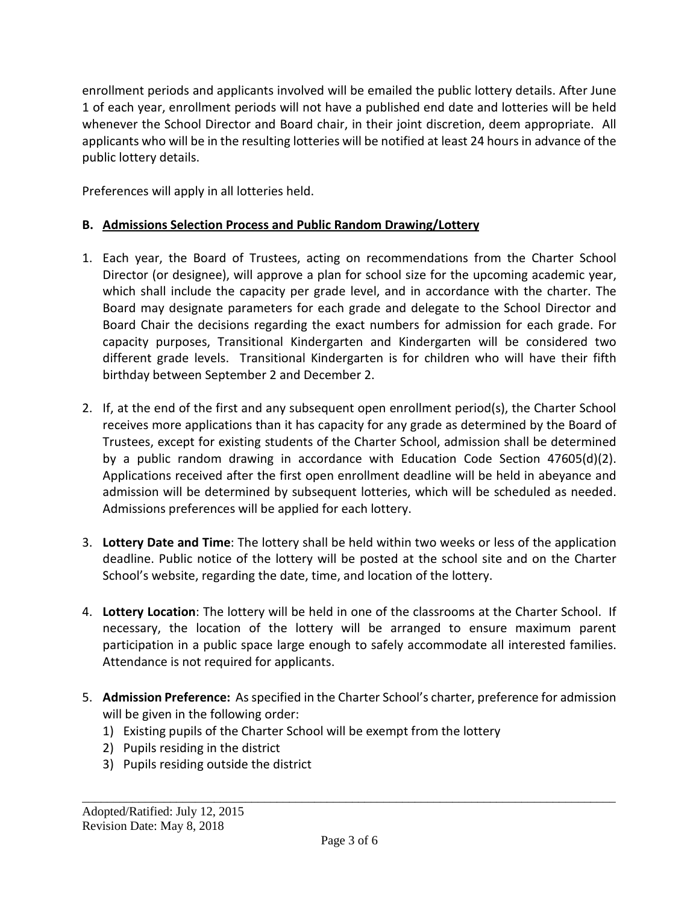enrollment periods and applicants involved will be emailed the public lottery details. After June 1 of each year, enrollment periods will not have a published end date and lotteries will be held whenever the School Director and Board chair, in their joint discretion, deem appropriate. All applicants who will be in the resulting lotteries will be notified at least 24 hours in advance of the public lottery details.

Preferences will apply in all lotteries held.

# **B. Admissions Selection Process and Public Random Drawing/Lottery**

- 1. Each year, the Board of Trustees, acting on recommendations from the Charter School Director (or designee), will approve a plan for school size for the upcoming academic year, which shall include the capacity per grade level, and in accordance with the charter. The Board may designate parameters for each grade and delegate to the School Director and Board Chair the decisions regarding the exact numbers for admission for each grade. For capacity purposes, Transitional Kindergarten and Kindergarten will be considered two different grade levels. Transitional Kindergarten is for children who will have their fifth birthday between September 2 and December 2.
- 2. If, at the end of the first and any subsequent open enrollment period(s), the Charter School receives more applications than it has capacity for any grade as determined by the Board of Trustees, except for existing students of the Charter School, admission shall be determined by a public random drawing in accordance with Education Code Section 47605(d)(2). Applications received after the first open enrollment deadline will be held in abeyance and admission will be determined by subsequent lotteries, which will be scheduled as needed. Admissions preferences will be applied for each lottery.
- 3. **Lottery Date and Time**: The lottery shall be held within two weeks or less of the application deadline. Public notice of the lottery will be posted at the school site and on the Charter School's website, regarding the date, time, and location of the lottery.
- 4. **Lottery Location**: The lottery will be held in one of the classrooms at the Charter School. If necessary, the location of the lottery will be arranged to ensure maximum parent participation in a public space large enough to safely accommodate all interested families. Attendance is not required for applicants.
- 5. **Admission Preference:** As specified in the Charter School's charter, preference for admission will be given in the following order:
	- 1) Existing pupils of the Charter School will be exempt from the lottery
	- 2) Pupils residing in the district
	- 3) Pupils residing outside the district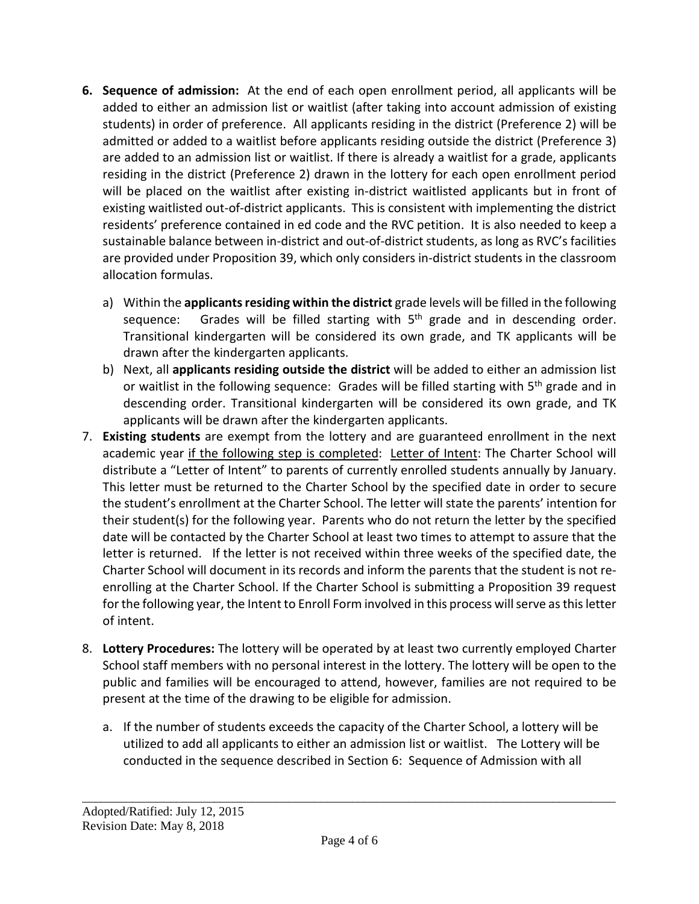- **6. Sequence of admission:** At the end of each open enrollment period, all applicants will be added to either an admission list or waitlist (after taking into account admission of existing students) in order of preference. All applicants residing in the district (Preference 2) will be admitted or added to a waitlist before applicants residing outside the district (Preference 3) are added to an admission list or waitlist. If there is already a waitlist for a grade, applicants residing in the district (Preference 2) drawn in the lottery for each open enrollment period will be placed on the waitlist after existing in-district waitlisted applicants but in front of existing waitlisted out-of-district applicants. This is consistent with implementing the district residents' preference contained in ed code and the RVC petition. It is also needed to keep a sustainable balance between in-district and out-of-district students, as long as RVC's facilities are provided under Proposition 39, which only considers in-district students in the classroom allocation formulas.
	- a) Within the **applicants residing within the district** grade levels will be filled in the following sequence: Grades will be filled starting with  $5<sup>th</sup>$  grade and in descending order. Transitional kindergarten will be considered its own grade, and TK applicants will be drawn after the kindergarten applicants.
	- b) Next, all **applicants residing outside the district** will be added to either an admission list or waitlist in the following sequence: Grades will be filled starting with  $5<sup>th</sup>$  grade and in descending order. Transitional kindergarten will be considered its own grade, and TK applicants will be drawn after the kindergarten applicants.
- 7. **Existing students** are exempt from the lottery and are guaranteed enrollment in the next academic year if the following step is completed: Letter of Intent: The Charter School will distribute a "Letter of Intent" to parents of currently enrolled students annually by January. This letter must be returned to the Charter School by the specified date in order to secure the student's enrollment at the Charter School. The letter will state the parents' intention for their student(s) for the following year. Parents who do not return the letter by the specified date will be contacted by the Charter School at least two times to attempt to assure that the letter is returned. If the letter is not received within three weeks of the specified date, the Charter School will document in its records and inform the parents that the student is not reenrolling at the Charter School. If the Charter School is submitting a Proposition 39 request for the following year, the Intent to Enroll Form involved in this process will serve as this letter of intent.
- 8. **Lottery Procedures:** The lottery will be operated by at least two currently employed Charter School staff members with no personal interest in the lottery. The lottery will be open to the public and families will be encouraged to attend, however, families are not required to be present at the time of the drawing to be eligible for admission.
	- a. If the number of students exceeds the capacity of the Charter School, a lottery will be utilized to add all applicants to either an admission list or waitlist. The Lottery will be conducted in the sequence described in Section 6: Sequence of Admission with all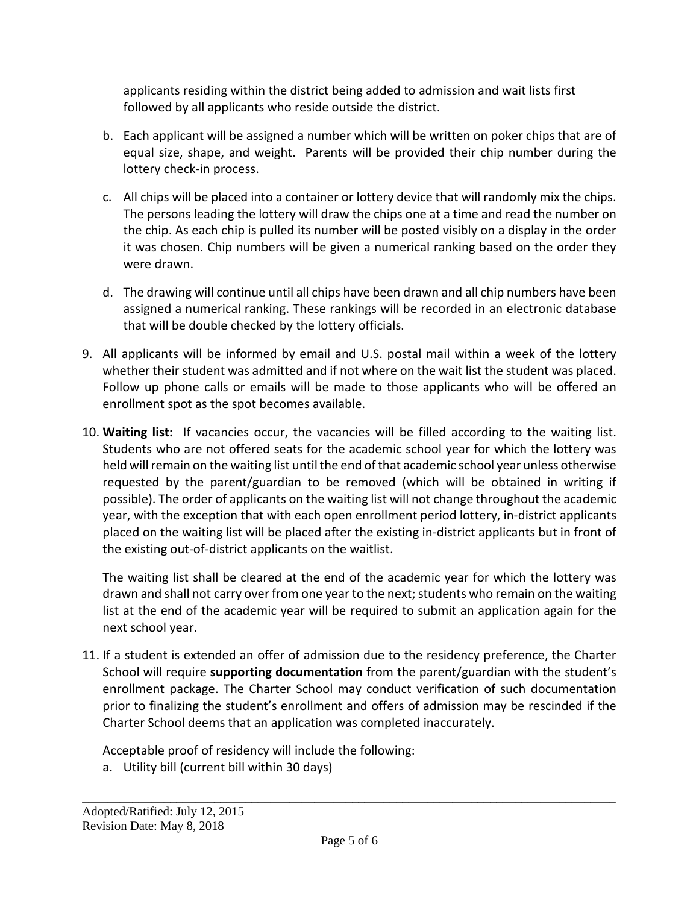applicants residing within the district being added to admission and wait lists first followed by all applicants who reside outside the district.

- b. Each applicant will be assigned a number which will be written on poker chips that are of equal size, shape, and weight. Parents will be provided their chip number during the lottery check-in process.
- c. All chips will be placed into a container or lottery device that will randomly mix the chips. The persons leading the lottery will draw the chips one at a time and read the number on the chip. As each chip is pulled its number will be posted visibly on a display in the order it was chosen. Chip numbers will be given a numerical ranking based on the order they were drawn.
- d. The drawing will continue until all chips have been drawn and all chip numbers have been assigned a numerical ranking. These rankings will be recorded in an electronic database that will be double checked by the lottery officials.
- 9. All applicants will be informed by email and U.S. postal mail within a week of the lottery whether their student was admitted and if not where on the wait list the student was placed. Follow up phone calls or emails will be made to those applicants who will be offered an enrollment spot as the spot becomes available.
- 10. **Waiting list:** If vacancies occur, the vacancies will be filled according to the waiting list. Students who are not offered seats for the academic school year for which the lottery was held will remain on the waiting list until the end of that academic school year unless otherwise requested by the parent/guardian to be removed (which will be obtained in writing if possible). The order of applicants on the waiting list will not change throughout the academic year, with the exception that with each open enrollment period lottery, in-district applicants placed on the waiting list will be placed after the existing in-district applicants but in front of the existing out-of-district applicants on the waitlist.

The waiting list shall be cleared at the end of the academic year for which the lottery was drawn and shall not carry over from one year to the next; students who remain on the waiting list at the end of the academic year will be required to submit an application again for the next school year.

11. If a student is extended an offer of admission due to the residency preference, the Charter School will require **supporting documentation** from the parent/guardian with the student's enrollment package. The Charter School may conduct verification of such documentation prior to finalizing the student's enrollment and offers of admission may be rescinded if the Charter School deems that an application was completed inaccurately.

Acceptable proof of residency will include the following: a. Utility bill (current bill within 30 days)